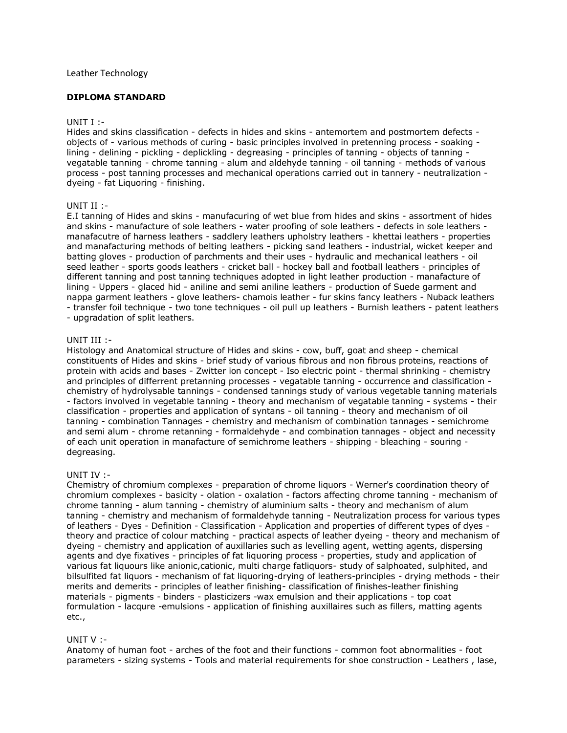# Leather Technology

# **DIPLOMA STANDARD**

## UNIT I :-

Hides and skins classification - defects in hides and skins - antemortem and postmortem defects objects of - various methods of curing - basic principles involved in pretenning process - soaking lining - delining - pickling - deplickling - degreasing - principles of tanning - objects of tanning vegatable tanning - chrome tanning - alum and aldehyde tanning - oil tanning - methods of various process - post tanning processes and mechanical operations carried out in tannery - neutralization dyeing - fat Liquoring - finishing.

## UNIT II :-

E.I tanning of Hides and skins - manufacuring of wet blue from hides and skins - assortment of hides and skins - manufacture of sole leathers - water proofing of sole leathers - defects in sole leathers manafacutre of harness leathers - saddlery leathers upholstry leathers - khettai leathers - properties and manafacturing methods of belting leathers - picking sand leathers - industrial, wicket keeper and batting gloves - production of parchments and their uses - hydraulic and mechanical leathers - oil seed leather - sports goods leathers - cricket ball - hockey ball and football leathers - principles of different tanning and post tanning techniques adopted in light leather production - manafacture of lining - Uppers - glaced hid - aniline and semi aniline leathers - production of Suede garment and nappa garment leathers - glove leathers- chamois leather - fur skins fancy leathers - Nuback leathers - transfer foil technique - two tone techniques - oil pull up leathers - Burnish leathers - patent leathers - upgradation of split leathers.

#### UNIT III :-

Histology and Anatomical structure of Hides and skins - cow, buff, goat and sheep - chemical constituents of Hides and skins - brief study of various fibrous and non fibrous proteins, reactions of protein with acids and bases - Zwitter ion concept - Iso electric point - thermal shrinking - chemistry and principles of differrent pretanning processes - vegatable tanning - occurrence and classification chemistry of hydrolysable tannings - condensed tannings study of various vegetable tanning materials - factors involved in vegetable tanning - theory and mechanism of vegatable tanning - systems - their classification - properties and application of syntans - oil tanning - theory and mechanism of oil tanning - combination Tannages - chemistry and mechanism of combination tannages - semichrome and semi alum - chrome retanning - formaldehyde - and combination tannages - object and necessity of each unit operation in manafacture of semichrome leathers - shipping - bleaching - souring degreasing.

## UNIT IV :-

Chemistry of chromium complexes - preparation of chrome liquors - Werner's coordination theory of chromium complexes - basicity - olation - oxalation - factors affecting chrome tanning - mechanism of chrome tanning - alum tanning - chemistry of aluminium salts - theory and mechanism of alum tanning - chemistry and mechanism of formaldehyde tanning - Neutralization process for various types of leathers - Dyes - Definition - Classification - Application and properties of different types of dyes theory and practice of colour matching - practical aspects of leather dyeing - theory and mechanism of dyeing - chemistry and application of auxillaries such as levelling agent, wetting agents, dispersing agents and dye fixatives - principles of fat liquoring process - properties, study and application of various fat liquours like anionic,cationic, multi charge fatliquors- study of salphoated, sulphited, and bilsulfited fat liquors - mechanism of fat liquoring-drying of leathers-principles - drying methods - their merits and demerits - principles of leather finishing- classification of finishes-leather finishing materials - pigments - binders - plasticizers -wax emulsion and their applications - top coat formulation - lacqure -emulsions - application of finishing auxillaires such as fillers, matting agents etc.,

## UNIT V :-

Anatomy of human foot - arches of the foot and their functions - common foot abnormalities - foot parameters - sizing systems - Tools and material requirements for shoe construction - Leathers , lase,